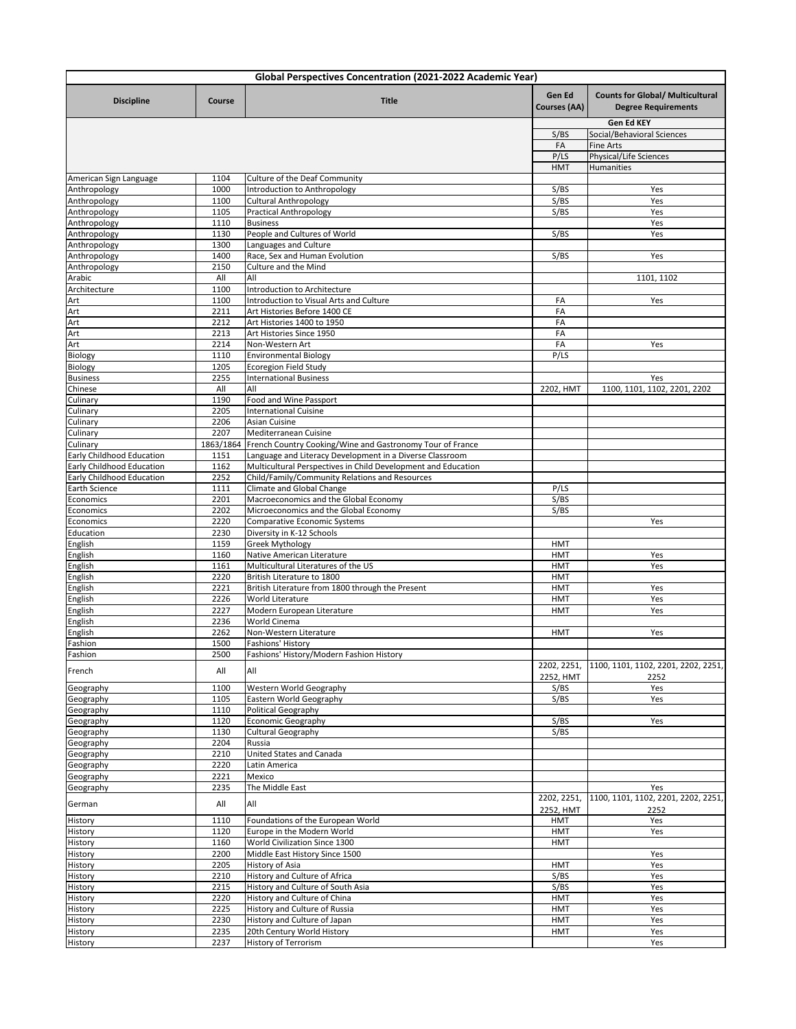| Global Perspectives Concentration (2021-2022 Academic Year) |              |                                                                                                                                 |                               |                                                                       |  |  |  |
|-------------------------------------------------------------|--------------|---------------------------------------------------------------------------------------------------------------------------------|-------------------------------|-----------------------------------------------------------------------|--|--|--|
| <b>Discipline</b>                                           | Course       | <b>Title</b>                                                                                                                    | Gen Ed<br><b>Courses (AA)</b> | <b>Counts for Global/ Multicultural</b><br><b>Degree Requirements</b> |  |  |  |
|                                                             |              |                                                                                                                                 |                               | Gen Ed KEY                                                            |  |  |  |
|                                                             |              |                                                                                                                                 | S/BS<br>FA                    | Social/Behavioral Sciences<br><b>Fine Arts</b>                        |  |  |  |
|                                                             |              |                                                                                                                                 | P/LS                          | Physical/Life Sciences                                                |  |  |  |
|                                                             |              |                                                                                                                                 | <b>HMT</b>                    | Humanities                                                            |  |  |  |
| American Sign Language                                      | 1104         | Culture of the Deaf Community                                                                                                   |                               |                                                                       |  |  |  |
| Anthropology                                                | 1000         | Introduction to Anthropology                                                                                                    | S/BS                          | Yes                                                                   |  |  |  |
| Anthropology                                                | 1100         | <b>Cultural Anthropology</b>                                                                                                    | S/BS                          | Yes                                                                   |  |  |  |
| Anthropology                                                | 1105<br>1110 | <b>Practical Anthropology</b><br><b>Business</b>                                                                                | S/BS                          | Yes<br>Yes                                                            |  |  |  |
| Anthropology<br>Anthropology                                | 1130         | People and Cultures of World                                                                                                    | S/BS                          | Yes                                                                   |  |  |  |
| Anthropology                                                | 1300         | Languages and Culture                                                                                                           |                               |                                                                       |  |  |  |
| Anthropology                                                | 1400         | Race, Sex and Human Evolution                                                                                                   | S/BS                          | Yes                                                                   |  |  |  |
| Anthropology                                                | 2150         | Culture and the Mind                                                                                                            |                               |                                                                       |  |  |  |
| Arabic                                                      | All          | All                                                                                                                             |                               | 1101, 1102                                                            |  |  |  |
| Architecture                                                | 1100         | Introduction to Architecture                                                                                                    |                               |                                                                       |  |  |  |
| Art                                                         | 1100         | Introduction to Visual Arts and Culture                                                                                         | FA                            | Yes                                                                   |  |  |  |
| Art                                                         | 2211         | Art Histories Before 1400 CE                                                                                                    | FA                            |                                                                       |  |  |  |
| Art<br>Art                                                  | 2212<br>2213 | Art Histories 1400 to 1950<br>Art Histories Since 1950                                                                          | FA<br>FA                      |                                                                       |  |  |  |
| Art                                                         | 2214         | Non-Western Art                                                                                                                 | FA                            | Yes                                                                   |  |  |  |
| Biology                                                     | 1110         | <b>Environmental Biology</b>                                                                                                    | P/LS                          |                                                                       |  |  |  |
| Biology                                                     | 1205         | <b>Ecoregion Field Study</b>                                                                                                    |                               |                                                                       |  |  |  |
| <b>Business</b>                                             | 2255         | <b>International Business</b>                                                                                                   |                               | Yes                                                                   |  |  |  |
| Chinese                                                     | All          | All                                                                                                                             | 2202, HMT                     | 1100, 1101, 1102, 2201, 2202                                          |  |  |  |
| Culinary                                                    | 1190         | Food and Wine Passport                                                                                                          |                               |                                                                       |  |  |  |
| Culinary                                                    | 2205         | <b>International Cuisine</b>                                                                                                    |                               |                                                                       |  |  |  |
| Culinary                                                    | 2206         | <b>Asian Cuisine</b>                                                                                                            |                               |                                                                       |  |  |  |
| Culinary                                                    | 2207         | Mediterranean Cuisine                                                                                                           |                               |                                                                       |  |  |  |
| Culinary<br>Early Childhood Education                       | 1151         | 1863/1864 French Country Cooking/Wine and Gastronomy Tour of France<br>Language and Literacy Development in a Diverse Classroom |                               |                                                                       |  |  |  |
| Early Childhood Education                                   | 1162         | Multicultural Perspectives in Child Development and Education                                                                   |                               |                                                                       |  |  |  |
| Early Childhood Education                                   | 2252         | Child/Family/Community Relations and Resources                                                                                  |                               |                                                                       |  |  |  |
| Earth Science                                               | 1111         | Climate and Global Change                                                                                                       | P/LS                          |                                                                       |  |  |  |
| Economics                                                   | 2201         | Macroeconomics and the Global Economy                                                                                           | S/BS                          |                                                                       |  |  |  |
| Economics                                                   | 2202         | Microeconomics and the Global Economy                                                                                           | S/BS                          |                                                                       |  |  |  |
| Economics                                                   | 2220         | Comparative Economic Systems                                                                                                    |                               | Yes                                                                   |  |  |  |
| Education                                                   | 2230         | Diversity in K-12 Schools                                                                                                       |                               |                                                                       |  |  |  |
| English                                                     | 1159         | <b>Greek Mythology</b>                                                                                                          | <b>HMT</b>                    |                                                                       |  |  |  |
| English                                                     | 1160<br>1161 | Native American Literature<br>Multicultural Literatures of the US                                                               | <b>HMT</b><br><b>HMT</b>      | Yes<br>Yes                                                            |  |  |  |
| English<br>English                                          | 2220         | British Literature to 1800                                                                                                      | <b>HMT</b>                    |                                                                       |  |  |  |
| English                                                     | 2221         | British Literature from 1800 through the Present                                                                                | <b>HMT</b>                    | Yes                                                                   |  |  |  |
| English                                                     | 2226         | World Literature                                                                                                                | <b>HMT</b>                    | Yes                                                                   |  |  |  |
| English                                                     | 2227         | Modern European Literature                                                                                                      | <b>HMT</b>                    | Yes                                                                   |  |  |  |
| English                                                     | 2236         | World Cinema                                                                                                                    |                               |                                                                       |  |  |  |
| English                                                     | 2262         | Non-Western Literature                                                                                                          | HMT                           | Yes                                                                   |  |  |  |
| Fashion                                                     | 1500         | Fashions' History                                                                                                               |                               |                                                                       |  |  |  |
| Fashion                                                     | 2500         | Fashions' History/Modern Fashion History                                                                                        |                               |                                                                       |  |  |  |
| French                                                      | All          | All                                                                                                                             | 2202, 2251,<br>2252, HMT      | 1100, 1101, 1102, 2201, 2202, 2251,<br>2252                           |  |  |  |
| Geography                                                   | 1100         | Western World Geography                                                                                                         | S/BS                          | Yes                                                                   |  |  |  |
| Geography                                                   | 1105         | Eastern World Geography                                                                                                         | S/BS                          | Yes                                                                   |  |  |  |
| Geography<br>Geography                                      | 1110<br>1120 | Political Geography<br><b>Economic Geography</b>                                                                                | S/BS                          | Yes                                                                   |  |  |  |
| Geography                                                   | 1130         | <b>Cultural Geography</b>                                                                                                       | S/BS                          |                                                                       |  |  |  |
| Geography                                                   | 2204         | Russia                                                                                                                          |                               |                                                                       |  |  |  |
| Geography                                                   | 2210         | United States and Canada                                                                                                        |                               |                                                                       |  |  |  |
| Geography                                                   | 2220         | Latin America                                                                                                                   |                               |                                                                       |  |  |  |
| Geography                                                   | 2221         | Mexico                                                                                                                          |                               |                                                                       |  |  |  |
| Geography                                                   | 2235         | The Middle East                                                                                                                 |                               | Yes                                                                   |  |  |  |
| German                                                      | All          | All                                                                                                                             | 2202, 2251,<br>2252, HMT      | 1100, 1101, 1102, 2201, 2202, 2251,<br>2252                           |  |  |  |
| History                                                     | 1110         | Foundations of the European World                                                                                               | HMT                           | Yes                                                                   |  |  |  |
| History                                                     | 1120         | Europe in the Modern World                                                                                                      | <b>HMT</b>                    | Yes                                                                   |  |  |  |
| History                                                     | 1160         | World Civilization Since 1300                                                                                                   | <b>HMT</b>                    |                                                                       |  |  |  |
| History                                                     | 2200         | Middle East History Since 1500                                                                                                  |                               | Yes                                                                   |  |  |  |
| History                                                     | 2205         | History of Asia                                                                                                                 | <b>HMT</b>                    | Yes                                                                   |  |  |  |
| History<br>History                                          | 2210<br>2215 | History and Culture of Africa<br>History and Culture of South Asia                                                              | S/BS<br>S/BS                  | Yes<br>Yes                                                            |  |  |  |
| History                                                     | 2220         | History and Culture of China                                                                                                    | <b>HMT</b>                    | Yes                                                                   |  |  |  |
| History                                                     | 2225         | History and Culture of Russia                                                                                                   | <b>HMT</b>                    | Yes                                                                   |  |  |  |
| History                                                     | 2230         | History and Culture of Japan                                                                                                    | <b>HMT</b>                    | Yes                                                                   |  |  |  |
| History                                                     | 2235         | 20th Century World History                                                                                                      | <b>HMT</b>                    | Yes                                                                   |  |  |  |
| History                                                     | 2237         | History of Terrorism                                                                                                            |                               | Yes                                                                   |  |  |  |